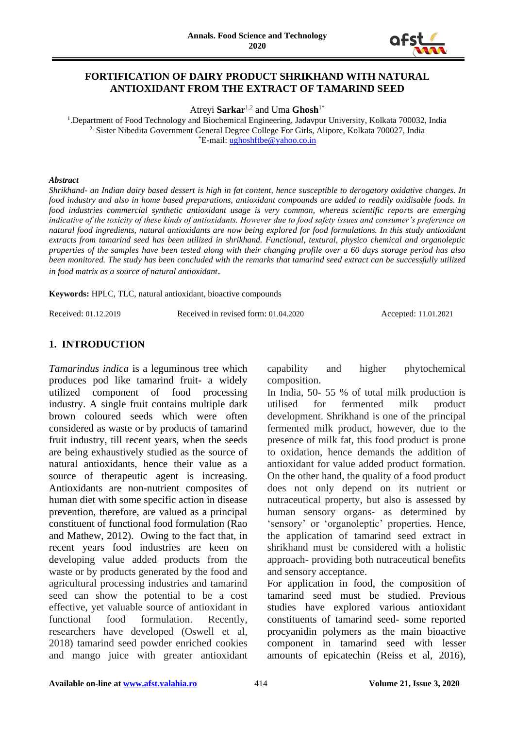

# **FORTIFICATION OF DAIRY PRODUCT SHRIKHAND WITH NATURAL ANTIOXIDANT FROM THE EXTRACT OF TAMARIND SEED**

Atreyi **Sarkar**1,2 and Uma **Ghosh**1\*

<sup>1</sup>. Department of Food Technology and Biochemical Engineering, Jadavpur University, Kolkata 700032, India <sup>2.</sup> Sister Nibedita Government General Degree College For Girls, Alipore, Kolkata 700027, India \*E-mail: [ughoshftbe@yahoo.co.in](mailto:ughoshftbe@yahoo.co.in)

#### *Abstract*

*Shrikhand- an Indian dairy based dessert is high in fat content, hence susceptible to derogatory oxidative changes. In food industry and also in home based preparations, antioxidant compounds are added to readily oxidisable foods. In food industries commercial synthetic antioxidant usage is very common, whereas scientific reports are emerging indicative of the toxicity of these kinds of antioxidants. However due to food safety issues and consumer's preference on natural food ingredients, natural antioxidants are now being explored for food formulations. In this study antioxidant extracts from tamarind seed has been utilized in shrikhand. Functional, textural, physico chemical and organoleptic properties of the samples have been tested along with their changing profile over a 60 days storage period has also been monitored. The study has been concluded with the remarks that tamarind seed extract can be successfully utilized in food matrix as a source of natural antioxidant*.

**Keywords:** HPLC, TLC, natural antioxidant, bioactive compounds

Received: 01.12.2019 Received in revised form: 01.04.2020 Accepted: 11.01.2021

#### **1. INTRODUCTION**

*Tamarindus indica* is a leguminous tree which produces pod like tamarind fruit- a widely utilized component of food processing industry. A single fruit contains multiple dark brown coloured seeds which were often considered as waste or by products of tamarind fruit industry, till recent years, when the seeds are being exhaustively studied as the source of natural antioxidants, hence their value as a source of therapeutic agent is increasing. Antioxidants are non-nutrient composites of human diet with some specific action in disease prevention, therefore, are valued as a principal constituent of functional food formulation (Rao and Mathew, 2012). Owing to the fact that, in recent years food industries are keen on developing value added products from the waste or by products generated by the food and agricultural processing industries and tamarind seed can show the potential to be a cost effective, yet valuable source of antioxidant in functional food formulation. Recently, researchers have developed (Oswell et al, 2018) tamarind seed powder enriched cookies and mango juice with greater antioxidant

capability and higher phytochemical composition.

In India, 50- 55 % of total milk production is utilised for fermented milk product development. Shrikhand is one of the principal fermented milk product, however, due to the presence of milk fat, this food product is prone to oxidation, hence demands the addition of antioxidant for value added product formation. On the other hand, the quality of a food product does not only depend on its nutrient or nutraceutical property, but also is assessed by human sensory organs- as determined by 'sensory' or 'organoleptic' properties. Hence, the application of tamarind seed extract in shrikhand must be considered with a holistic approach- providing both nutraceutical benefits and sensory acceptance.

For application in food, the composition of tamarind seed must be studied. Previous studies have explored various antioxidant constituents of tamarind seed- some reported procyanidin polymers as the main bioactive component in tamarind seed with lesser amounts of epicatechin (Reiss et al, 2016),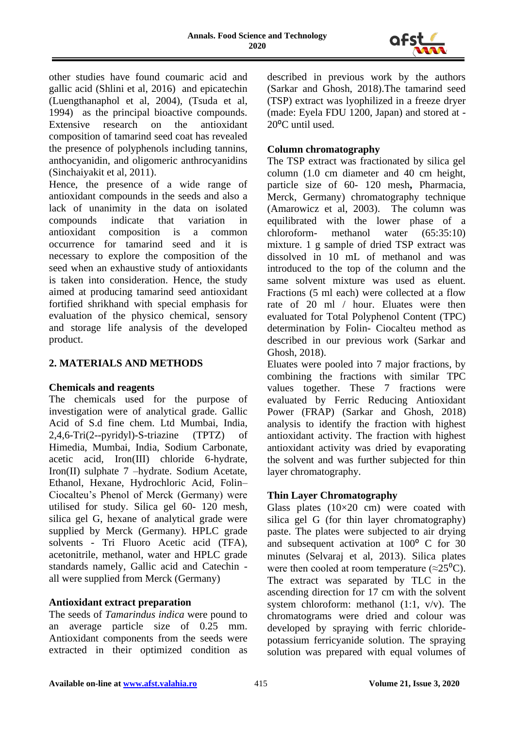

other studies have found coumaric acid and gallic acid (Shlini et al, 2016) and epicatechin (Luengthanaphol et al, 2004), (Tsuda et al, 1994) as the principal bioactive compounds. Extensive research on the antioxidant composition of tamarind seed coat has revealed the presence of polyphenols including tannins, anthocyanidin, and oligomeric anthrocyanidins (Sinchaiyakit et al, 2011).

Hence, the presence of a wide range of antioxidant compounds in the seeds and also a lack of unanimity in the data on isolated compounds indicate that variation in antioxidant composition is a common occurrence for tamarind seed and it is necessary to explore the composition of the seed when an exhaustive study of antioxidants is taken into consideration. Hence, the study aimed at producing tamarind seed antioxidant fortified shrikhand with special emphasis for evaluation of the physico chemical, sensory and storage life analysis of the developed product.

#### **2. MATERIALS AND METHODS**

#### **Chemicals and reagents**

The chemicals used for the purpose of investigation were of analytical grade. Gallic Acid of S.d fine chem. Ltd Mumbai, India, 2,4,6-Tri(2--pyridyl)-S-triazine (TPTZ) of Himedia, Mumbai, India, Sodium Carbonate, acetic acid, Iron(III) chloride 6-hydrate, Iron(II) sulphate 7 –hydrate. Sodium Acetate, Ethanol, Hexane, Hydrochloric Acid, Folin– Ciocalteu's Phenol of Merck (Germany) were utilised for study. Silica gel 60- 120 mesh, silica gel G, hexane of analytical grade were supplied by Merck (Germany). HPLC grade solvents - Tri Fluoro Acetic acid (TFA), acetonitrile, methanol, water and HPLC grade standards namely, Gallic acid and Catechin all were supplied from Merck (Germany)

# **Antioxidant extract preparation**

The seeds of *Tamarindus indica* were pound to an average particle size of 0.25 mm. Antioxidant components from the seeds were extracted in their optimized condition as described in previous work by the authors (Sarkar and Ghosh, 2018).The tamarind seed (TSP) extract was lyophilized in a freeze dryer (made: Eyela FDU 1200, Japan) and stored at - 20<sup>o</sup>C until used.

# **Column chromatography**

The TSP extract was fractionated by silica gel column (1.0 cm diameter and 40 cm height, particle size of 60- 120 mesh**,** Pharmacia, Merck, Germany) chromatography technique (Amarowicz et al, 2003). The column was equilibrated with the lower phase of a chloroform- methanol water (65:35:10) mixture. 1 g sample of dried TSP extract was dissolved in 10 mL of methanol and was introduced to the top of the column and the same solvent mixture was used as eluent. Fractions (5 ml each) were collected at a flow rate of 20 ml / hour. Eluates were then evaluated for Total Polyphenol Content (TPC) determination by Folin- Ciocalteu method as described in our previous work (Sarkar and Ghosh, 2018).

Eluates were pooled into 7 major fractions, by combining the fractions with similar TPC values together. These 7 fractions were evaluated by Ferric Reducing Antioxidant Power (FRAP) (Sarkar and Ghosh, 2018) analysis to identify the fraction with highest antioxidant activity. The fraction with highest antioxidant activity was dried by evaporating the solvent and was further subjected for thin layer chromatography.

# **Thin Layer Chromatography**

Glass plates  $(10\times20$  cm) were coated with silica gel G (for thin layer chromatography) paste. The plates were subjected to air drying and subsequent activation at  $100^{\circ}$  C for 30 minutes (Selvaraj et al, 2013). Silica plates were then cooled at room temperature ( $\approx$ 25<sup>0</sup>C). The extract was separated by TLC in the ascending direction for 17 cm with the solvent system chloroform: methanol (1:1, v/v). The chromatograms were dried and colour was developed by spraying with ferric chloridepotassium ferricyanide solution. The spraying solution was prepared with equal volumes of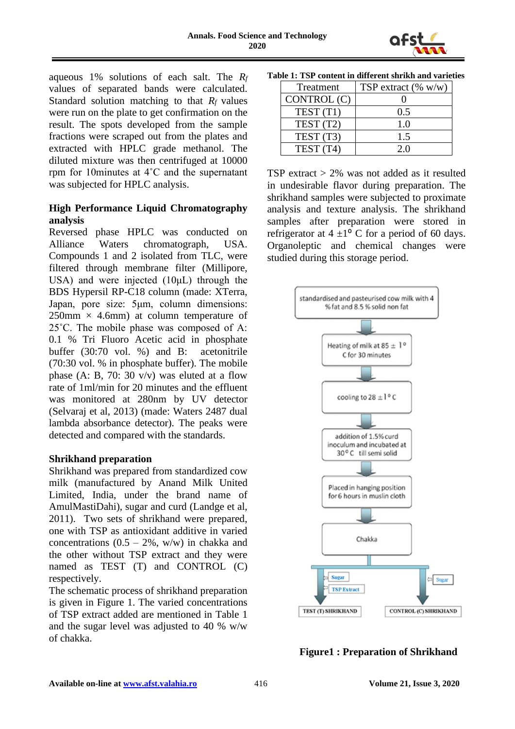

aqueous 1% solutions of each salt. The *R<sup>f</sup>* values of separated bands were calculated. Standard solution matching to that  $R_f$  values were run on the plate to get confirmation on the result. The spots developed from the sample fractions were scraped out from the plates and extracted with HPLC grade methanol. The diluted mixture was then centrifuged at 10000 rpm for 10minutes at 4˚C and the supernatant was subjected for HPLC analysis.

# **High Performance Liquid Chromatography analysis**

Reversed phase HPLC was conducted on Alliance Waters chromatograph, USA. Compounds 1 and 2 isolated from TLC, were filtered through membrane filter (Millipore, USA) and were injected  $(10\mu L)$  through the BDS Hypersil RP-C18 column (made: XTerra, Japan, pore size: 5μm, column dimensions:  $250$ mm  $\times$  4.6mm) at column temperature of 25˚C. The mobile phase was composed of A: 0.1 % Tri Fluoro Acetic acid in phosphate buffer (30:70 vol. %) and B: acetonitrile (70:30 vol. % in phosphate buffer). The mobile phase (A: B, 70: 30  $v/v$ ) was eluted at a flow rate of 1ml/min for 20 minutes and the effluent was monitored at 280nm by UV detector (Selvaraj et al, 2013) (made: Waters 2487 dual lambda absorbance detector). The peaks were detected and compared with the standards.

# **Shrikhand preparation**

Shrikhand was prepared from standardized cow milk (manufactured by Anand Milk United Limited, India, under the brand name of AmulMastiDahi), sugar and curd (Landge et al, 2011). Two sets of shrikhand were prepared, one with TSP as antioxidant additive in varied concentrations  $(0.5 - 2\%)$ , w/w) in chakka and the other without TSP extract and they were named as TEST (T) and CONTROL (C) respectively.

The schematic process of shrikhand preparation is given in Figure 1. The varied concentrations of TSP extract added are mentioned in Table 1 and the sugar level was adjusted to 40 % w/w of chakka.

| Treatment   | TSP extract $(\% w/w)$ |
|-------------|------------------------|
| CONTROL (C) |                        |
| TEST(T1)    | 0.5                    |
| TEST (T2)   | 1.0                    |
| TEST (T3)   | 1.5                    |
| TEST (T4)   | 20                     |

**Table 1: TSP content in different shrikh and varieties**

TSP extract  $> 2\%$  was not added as it resulted in undesirable flavor during preparation. The shrikhand samples were subjected to proximate analysis and texture analysis. The shrikhand samples after preparation were stored in refrigerator at  $4 \pm 1^{\circ}$  C for a period of 60 days. Organoleptic and chemical changes were studied during this storage period.



**Figure1 : Preparation of Shrikhand**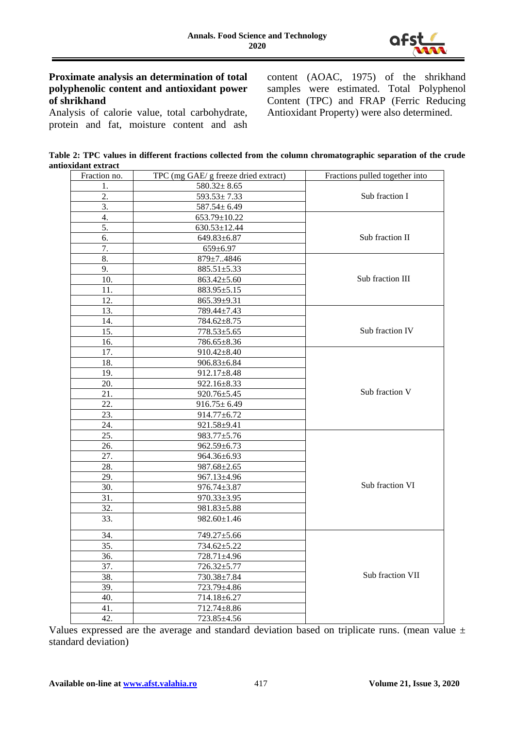

#### **Proximate analysis an determination of total polyphenolic content and antioxidant power of shrikhand**

Analysis of calorie value, total carbohydrate, protein and fat, moisture content and ash content (AOAC, 1975) of the shrikhand samples were estimated. Total Polyphenol Content (TPC) and FRAP (Ferric Reducing Antioxidant Property) were also determined.

**Table 2: TPC values in different fractions collected from the column chromatographic separation of the crude antioxidant extract**

| Fraction no.     | TPC (mg GAE/ g freeze dried extract) | Fractions pulled together into |  |  |  |  |
|------------------|--------------------------------------|--------------------------------|--|--|--|--|
| 1.               | $580.32 \pm 8.65$                    |                                |  |  |  |  |
| 2.               | $593.53 \pm 7.33$                    | Sub fraction I                 |  |  |  |  |
| $\overline{3}$ . | $587.54 \pm 6.49$                    |                                |  |  |  |  |
| 4.               | 653.79±10.22                         |                                |  |  |  |  |
| 5.               | $630.53 \pm 12.44$                   | Sub fraction II                |  |  |  |  |
| 6.               | 649.83±6.87                          |                                |  |  |  |  |
| 7.               | $659 \pm 6.97$                       |                                |  |  |  |  |
| 8.               | 879±74846                            |                                |  |  |  |  |
| 9.               | $885.51 \pm 5.33$                    |                                |  |  |  |  |
| 10.              | $863.42 \pm 5.60$                    | Sub fraction III               |  |  |  |  |
| 11.              | 883.95±5.15                          |                                |  |  |  |  |
| 12.              | 865.39±9.31                          |                                |  |  |  |  |
| 13.              | 789.44±7.43                          |                                |  |  |  |  |
| 14.              | $784.62 \pm 8.75$                    |                                |  |  |  |  |
| 15.              | 778.53±5.65                          | Sub fraction IV                |  |  |  |  |
| 16.              | 786.65±8.36                          |                                |  |  |  |  |
| 17.              | $910.42 \pm 8.40$                    |                                |  |  |  |  |
| 18.              | $906.83 \pm 6.84$                    |                                |  |  |  |  |
| 19.              | 912.17±8.48                          |                                |  |  |  |  |
| 20.              | 922.16±8.33                          | Sub fraction V                 |  |  |  |  |
| 21.              | 920.76±5.45                          |                                |  |  |  |  |
| 22.              | $916.75 \pm 6.49$                    |                                |  |  |  |  |
| 23.              | 914.77±6.72                          |                                |  |  |  |  |
| 24.              | 921.58±9.41                          |                                |  |  |  |  |
| 25.              | 983.77±5.76                          |                                |  |  |  |  |
| 26.              | $962.59 \pm 6.73$                    |                                |  |  |  |  |
| 27.              | 964.36±6.93                          |                                |  |  |  |  |
| 28.              | $987.68 \pm 2.65$                    |                                |  |  |  |  |
| 29.              | 967.13±4.96                          |                                |  |  |  |  |
| 30.              | 976.74±3.87                          | Sub fraction VI                |  |  |  |  |
| 31.              | 970.33±3.95                          |                                |  |  |  |  |
| 32.              | $981.83 \pm 5.88$                    |                                |  |  |  |  |
| 33.              | $982.60 \pm 1.46$                    |                                |  |  |  |  |
| 34.              | 749.27±5.66                          |                                |  |  |  |  |
| 35.              | 734.62±5.22                          |                                |  |  |  |  |
| 36.              | 728.71±4.96                          |                                |  |  |  |  |
| 37.              | 726.32±5.77                          |                                |  |  |  |  |
| 38.              | 730.38±7.84                          | Sub fraction VII               |  |  |  |  |
| 39.              | 723.79±4.86                          |                                |  |  |  |  |
| 40.              | 714.18±6.27                          |                                |  |  |  |  |
| 41.              | 712.74±8.86                          |                                |  |  |  |  |
| 42.              | 723.85±4.56                          |                                |  |  |  |  |

Values expressed are the average and standard deviation based on triplicate runs. (mean value  $\pm$ standard deviation)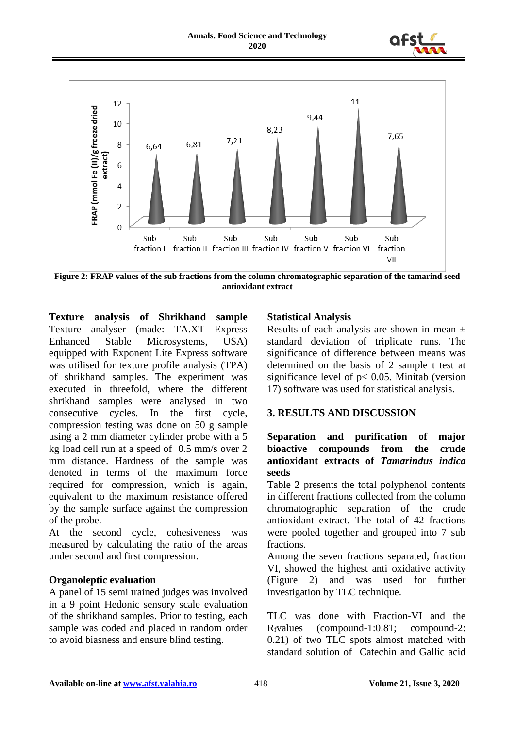



**Figure 2: FRAP values of the sub fractions from the column chromatographic separation of the tamarind seed antioxidant extract**

**Texture analysis of Shrikhand sample** Texture analyser (made: TA.XT Express Enhanced Stable Microsystems, USA) equipped with Exponent Lite Express software was utilised for texture profile analysis (TPA) of shrikhand samples. The experiment was executed in threefold, where the different shrikhand samples were analysed in two consecutive cycles. In the first cycle, compression testing was done on 50 g sample using a 2 mm diameter cylinder probe with a 5 kg load cell run at a speed of 0.5 mm/s over 2 mm distance. Hardness of the sample was denoted in terms of the maximum force required for compression, which is again, equivalent to the maximum resistance offered by the sample surface against the compression of the probe.

At the second cycle, cohesiveness was measured by calculating the ratio of the areas under second and first compression.

#### **Organoleptic evaluation**

A panel of 15 semi trained judges was involved in a 9 point Hedonic sensory scale evaluation of the shrikhand samples. Prior to testing, each sample was coded and placed in random order to avoid biasness and ensure blind testing.

### **Statistical Analysis**

Results of each analysis are shown in mean  $\pm$ standard deviation of triplicate runs. The significance of difference between means was determined on the basis of 2 sample t test at significance level of  $p < 0.05$ . Minitab (version 17) software was used for statistical analysis.

#### **3. RESULTS AND DISCUSSION**

### **Separation and purification of major bioactive compounds from the crude antioxidant extracts of** *Tamarindus indica*  **seeds**

Table 2 presents the total polyphenol contents in different fractions collected from the column chromatographic separation of the crude antioxidant extract. The total of 42 fractions were pooled together and grouped into 7 sub fractions.

Among the seven fractions separated, fraction VI, showed the highest anti oxidative activity (Figure 2) and was used for further investigation by TLC technique.

TLC was done with Fraction-VI and the Rfvalues (compound-1:0.81; compound-2: 0.21) of two TLC spots almost matched with standard solution of Catechin and Gallic acid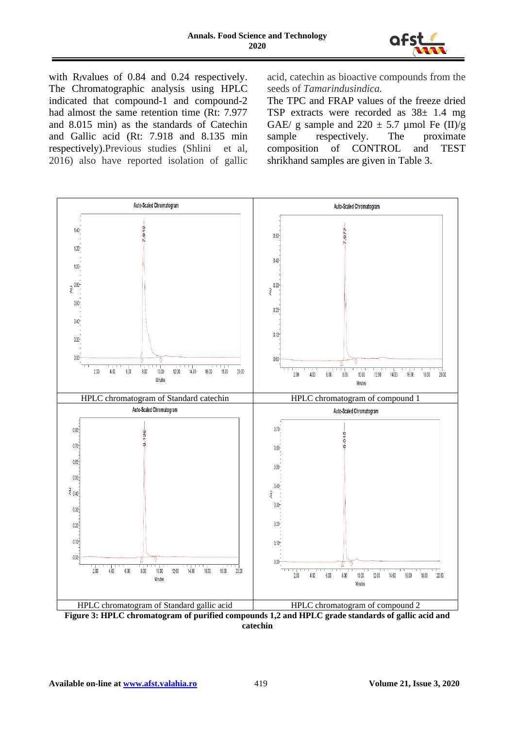

with R<sub>f</sub>values of 0.84 and 0.24 respectively. The Chromatographic analysis using HPLC indicated that compound-1 and compound-2 had almost the same retention time (Rt: 7.977 and 8.015 min) as the standards of Catechin and Gallic acid (Rt: 7.918 and 8.135 min respectively).Previous studies (Shlini et al, 2016) also have reported isolation of gallic

acid, catechin as bioactive compounds from the seeds of *Tamarindusindica.* 

The TPC and FRAP values of the freeze dried TSP extracts were recorded as  $38\pm 1.4$  mg GAE/ g sample and  $220 \pm 5.7$  µmol Fe (II)/g sample respectively. The proximate composition of CONTROL and TEST shrikhand samples are given in Table 3.



**catechin**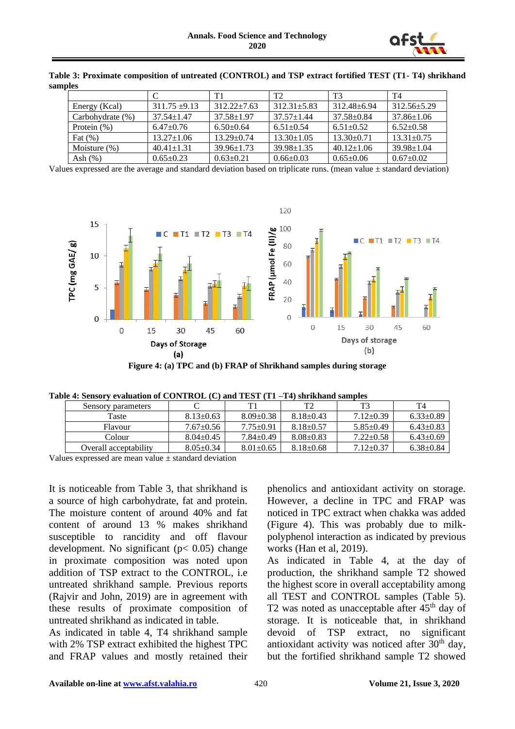

|                  |                  | T1               | T <sub>2</sub>    | T3               | T4               |
|------------------|------------------|------------------|-------------------|------------------|------------------|
| Energy (Kcal)    | $311.75 + 9.13$  | $312.22 + 7.63$  | $312.31 \pm 5.83$ | $312.48 + 6.94$  | $312.56 + 5.29$  |
| Carbohydrate (%) | $37.54 \pm 1.47$ | $37.58 \pm 1.97$ | $37.57 \pm 1.44$  | 37.58±0.84       | $37.86 \pm 1.06$ |
| Protein $(\%)$   | $6.47+0.76$      | $6.50+0.64$      | $6.51 \pm 0.54$   | $6.51 + 0.52$    | $6.52+0.58$      |
| Fat $(\% )$      | $13.27 \pm 1.06$ | $13.29 \pm 0.74$ | $13.30 \pm 1.05$  | $13.30 \pm 0.71$ | $13.31 \pm 0.75$ |
| Moisture $(\%)$  | $40.41 \pm 1.31$ | $39.96 \pm 1.73$ | $39.98 \pm 1.35$  | $40.12 \pm 1.06$ | $39.98 \pm 1.04$ |
| Ash $(\%)$       | $0.65 \pm 0.23$  | $0.63 \pm 0.21$  | $0.66 \pm 0.03$   | $0.65 \pm 0.06$  | $0.67 \pm 0.02$  |

**Table 3: Proximate composition of untreated (CONTROL) and TSP extract fortified TEST (T1- T4) shrikhand samples**

Values expressed are the average and standard deviation based on triplicate runs. (mean value  $\pm$  standard deviation)



**Figure 4: (a) TPC and (b) FRAP of Shrikhand samples during storage**

| avit 7. otlišul v tvaluativni ur titri ritiko iz celjanu. 1 izo 1 j r 1 = 1 77 ših iklianu samonts |                       |                 |                 |                 |                 |                 |  |  |
|----------------------------------------------------------------------------------------------------|-----------------------|-----------------|-----------------|-----------------|-----------------|-----------------|--|--|
|                                                                                                    | Sensory parameters    |                 |                 | T2              | $T^2$           | T4              |  |  |
|                                                                                                    | Taste                 | $8.13 \pm 0.63$ | $8.09 \pm 0.38$ | $8.18 \pm 0.43$ | $7.12 \pm 0.39$ | $6.33 \pm 0.89$ |  |  |
|                                                                                                    | Flavour               | $7.67 \pm 0.56$ | $7.75 \pm 0.91$ | $8.18 \pm 0.57$ | $5.85 \pm 0.49$ | $6.43 \pm 0.83$ |  |  |
|                                                                                                    | Colour                | $8.04 \pm 0.45$ | $7.84 \pm 0.49$ | $8.08 \pm 0.83$ | $7.22 \pm 0.58$ | $6.43 \pm 0.69$ |  |  |
|                                                                                                    | Overall acceptability | $8.05 \pm 0.34$ | $8.01 \pm 0.65$ | $8.18 \pm 0.68$ | $7.12 \pm 0.37$ | $6.38 \pm 0.84$ |  |  |

**Table 4: Sensory evaluation of CONTROL (C) and TEST (T1 –T4) shrikhand samples**

Values expressed are mean value  $\pm$  standard deviation

It is noticeable from Table 3, that shrikhand is a source of high carbohydrate, fat and protein. The moisture content of around 40% and fat content of around 13 % makes shrikhand susceptible to rancidity and off flavour development. No significant ( $p < 0.05$ ) change in proximate composition was noted upon addition of TSP extract to the CONTROL, i.e untreated shrikhand sample. Previous reports (Rajvir and John, 2019) are in agreement with these results of proximate composition of untreated shrikhand as indicated in table.

As indicated in table 4, T4 shrikhand sample with 2% TSP extract exhibited the highest TPC and FRAP values and mostly retained their phenolics and antioxidant activity on storage. However, a decline in TPC and FRAP was noticed in TPC extract when chakka was added (Figure 4). This was probably due to milkpolyphenol interaction as indicated by previous works (Han et al, 2019).

As indicated in Table 4, at the day of production, the shrikhand sample T2 showed the highest score in overall acceptability among all TEST and CONTROL samples (Table 5). T2 was noted as unacceptable after  $45<sup>th</sup>$  day of storage. It is noticeable that, in shrikhand devoid of TSP extract, no significant antioxidant activity was noticed after  $30<sup>th</sup>$  day, but the fortified shrikhand sample T2 showed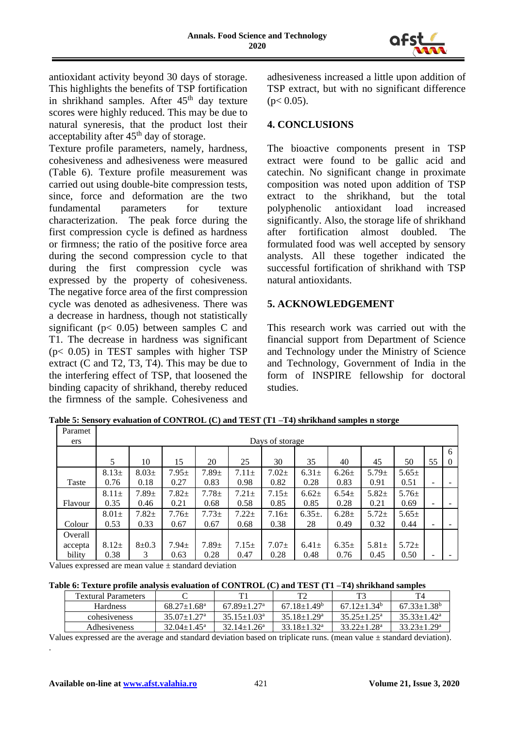

antioxidant activity beyond 30 days of storage. This highlights the benefits of TSP fortification in shrikhand samples. After  $45<sup>th</sup>$  day texture scores were highly reduced. This may be due to natural syneresis, that the product lost their acceptability after 45<sup>th</sup> day of storage.

Texture profile parameters, namely, hardness, cohesiveness and adhesiveness were measured (Table 6). Texture profile measurement was carried out using double-bite compression tests, since, force and deformation are the two fundamental parameters for texture<br>characterization. The peak force during the The peak force during the first compression cycle is defined as hardness or firmness; the ratio of the positive force area during the second compression cycle to that during the first compression cycle was expressed by the property of cohesiveness. The negative force area of the first compression cycle was denoted as adhesiveness. There was a decrease in hardness, though not statistically significant ( $p < 0.05$ ) between samples C and T1. The decrease in hardness was significant (p< 0.05) in TEST samples with higher TSP extract (C and T2, T3, T4). This may be due to the interfering effect of TSP, that loosened the binding capacity of shrikhand, thereby reduced the firmness of the sample. Cohesiveness and

adhesiveness increased a little upon addition of TSP extract, but with no significant difference  $(p< 0.05)$ .

# **4. CONCLUSIONS**

The bioactive components present in TSP extract were found to be gallic acid and catechin. No significant change in proximate composition was noted upon addition of TSP extract to the shrikhand, but the total polyphenolic antioxidant load increased significantly. Also, the storage life of shrikhand<br>after fortification almost doubled. The after fortification almost doubled. The formulated food was well accepted by sensory analysts. All these together indicated the successful fortification of shrikhand with TSP natural antioxidants.

# **5. ACKNOWLEDGEMENT**

This research work was carried out with the financial support from Department of Science and Technology under the Ministry of Science and Technology, Government of India in the form of INSPIRE fellowship for doctoral studies.

| Paramet |                 |             |            |            |            |            |             |            |            |            |    |          |
|---------|-----------------|-------------|------------|------------|------------|------------|-------------|------------|------------|------------|----|----------|
| ers     | Days of storage |             |            |            |            |            |             |            |            |            |    |          |
|         | 6               |             |            |            |            |            |             |            |            |            |    |          |
|         | 5               | 10          | 15         | 20         | 25         | 30         | 35          | 40         | 45         | 50         | 55 | $\theta$ |
|         | $8.13+$         | $8.03+$     | $7.95 \pm$ | $7.89 +$   | $7.11 \pm$ | $7.02 +$   | $6.31 \pm$  | $6.26 \pm$ | $5.79 \pm$ | $5.65 \pm$ |    |          |
| Taste   | 0.76            | 0.18        | 0.27       | 0.83       | 0.98       | 0.82       | 0.28        | 0.83       | 0.91       | 0.51       |    |          |
|         | $8.11 \pm$      | $7.89+$     | $7.82+$    | $7.78+$    | $7.21 \pm$ | $7.15 \pm$ | $6.62+$     | $6.54 \pm$ | $5.82+$    | $5.76 \pm$ |    |          |
| Flavour | 0.35            | 0.46        | 0.21       | 0.68       | 0.58       | 0.85       | 0.85        | 0.28       | 0.21       | 0.69       | -  |          |
|         | $8.01\pm$       | $7.82 +$    | $7.76 \pm$ | $7.73+$    | $7.22+$    | $7.16\pm$  | $6.35\pm$ . | $6.28 \pm$ | $5.72+$    | $5.65 \pm$ |    |          |
| Colour  | 0.53            | 0.33        | 0.67       | 0.67       | 0.68       | 0.38       | 28          | 0.49       | 0.32       | 0.44       | ۰  |          |
| Overall |                 |             |            |            |            |            |             |            |            |            |    |          |
| accepta | $8.12+$         | $8 \pm 0.3$ | $7.94 \pm$ | $7.89 \pm$ | $7.15 \pm$ | $7.07 \pm$ | $6.41 \pm$  | $6.35\pm$  | $5.81 \pm$ | $5.72 \pm$ |    |          |
| bility  | 0.38            | 3           | 0.63       | 0.28       | 0.47       | 0.28       | 0.48        | 0.76       | 0.45       | 0.50       |    |          |

**Table 5: Sensory evaluation of CONTROL (C) and TEST (T1 –T4) shrikhand samples n storge**

Values expressed are mean value ± standard deviation

**Table 6: Texture profile analysis evaluation of CONTROL (C) and TEST (T1 –T4) shrikhand samples**

| <b>Textural Parameters</b> |                             |                             |                             |                             |                             |
|----------------------------|-----------------------------|-----------------------------|-----------------------------|-----------------------------|-----------------------------|
| <b>Hardness</b>            | $68.27 + 1.68$ <sup>a</sup> | $67.89 + 1.27$ <sup>a</sup> | $67.18 + 1.49$              | $67.12 + 1.34$ <sup>b</sup> | $67.33 + 1.38$ <sup>b</sup> |
| cohesiveness               | $35.07 + 1.27$ <sup>a</sup> | $35.15 + 1.03a$             | $35.18 + 1.29$ <sup>a</sup> | $35.25 + 1.25^{\circ}$      | $35.33 + 1.42^a$            |
| <b>Adhesiveness</b>        | $32.04 \pm 1.45^{\text{a}}$ | $32.14 + 1.26^a$            | $33.18 \pm 1.32^a$          | $33.22 \pm 1.28^a$          | $33.23 \pm 1.29^a$          |

Values expressed are the average and standard deviation based on triplicate runs. (mean value ± standard deviation).

.